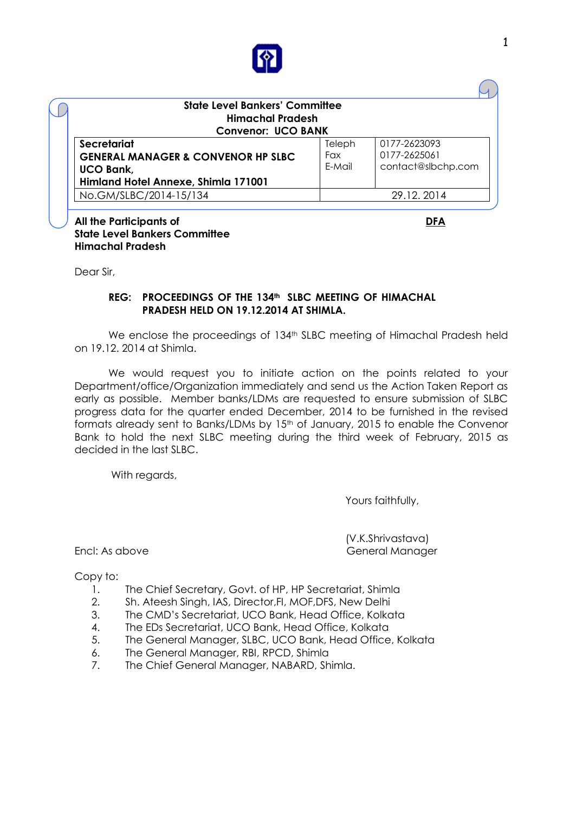

| <b>State Level Bankers' Committee</b><br><b>Himachal Pradesh</b><br><b>Convenor: UCO BANK</b> |        |                    |
|-----------------------------------------------------------------------------------------------|--------|--------------------|
| Secretariat                                                                                   | Teleph | 0177-2623093       |
| <b>GENERAL MANAGER &amp; CONVENOR HP SLBC</b>                                                 | Fax    | 0177-2625061       |
| <b>UCO Bank,</b>                                                                              | E-Mail | contact@slbchp.com |
| Himland Hotel Annexe, Shimla 171001                                                           |        |                    |
| No.GM/SLBC/2014-15/134                                                                        |        | 29.12.2014         |

#### **All the Participants of DFA State Level Bankers Committee Himachal Pradesh**

Dear Sir,

#### **REG: PROCEEDINGS OF THE 134th SLBC MEETING OF HIMACHAL PRADESH HELD ON 19.12.2014 AT SHIMLA.**

We enclose the proceedings of 134<sup>th</sup> SLBC meeting of Himachal Pradesh held on 19.12. 2014 at Shimla.

We would request you to initiate action on the points related to your Department/office/Organization immediately and send us the Action Taken Report as early as possible. Member banks/LDMs are requested to ensure submission of SLBC progress data for the quarter ended December, 2014 to be furnished in the revised formats already sent to Banks/LDMs by 15<sup>th</sup> of January, 2015 to enable the Convenor Bank to hold the next SLBC meeting during the third week of February, 2015 as decided in the last SLBC.

With regards,

Yours faithfully,

(V.K.Shrivastava) Encl: As above General Manager

Copy to:

- 1. The Chief Secretary, Govt. of HP, HP Secretariat, Shimla
- 2. Sh. Ateesh Singh, IAS, Director,FI, MOF,DFS, New Delhi
- 3. The CMD's Secretariat, UCO Bank, Head Office, Kolkata
- 4. The EDs Secretariat, UCO Bank, Head Office, Kolkata
- 5. The General Manager, SLBC, UCO Bank, Head Office, Kolkata
- 6. The General Manager, RBI, RPCD, Shimla
- 7. The Chief General Manager, NABARD, Shimla.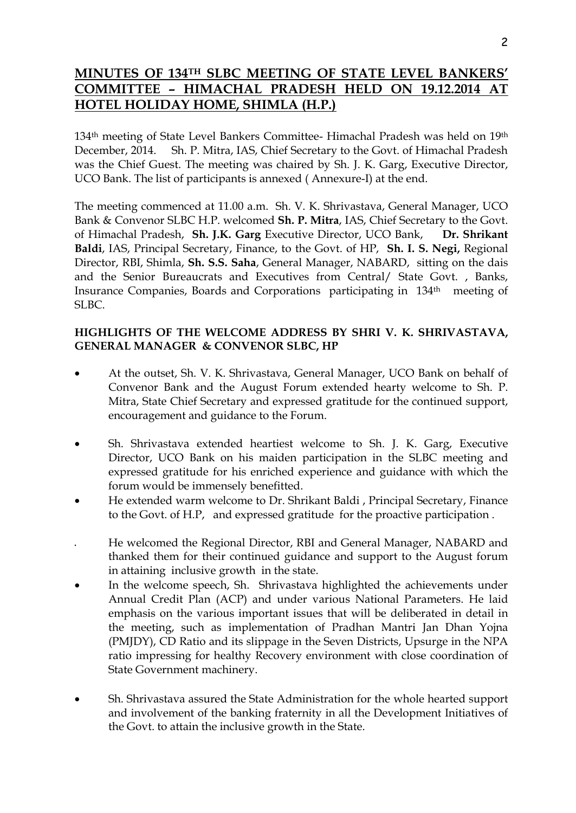# **MINUTES OF 134TH SLBC MEETING OF STATE LEVEL BANKERS' COMMITTEE - HIMACHAL PRADESH HELD ON 19.12.2014 HOTEL HOLIDAY HOME, SHIMLA (H.P.)**

134th meeting of State Level Bankers Committee- Himachal Pradesh was held on 19th December, 2014. Sh. P. Mitra, IAS, Chief Secretary to the Govt. of Himachal Pradesh was the Chief Guest. The meeting was chaired by Sh. J. K. Garg, Executive Director, UCO Bank. The list of participants is annexed ( Annexure-I) at the end.

The meeting commenced at 11.00 a.m. Sh. V. K. Shrivastava, General Manager, UCO Bank & Convenor SLBC H.P. welcomed **Sh. P. Mitra**, IAS, Chief Secretary to the Govt. of Himachal Pradesh, **Sh. J.K. Garg** Executive Director, UCO Bank, **Dr. Shrikant Baldi**, IAS, Principal Secretary, Finance, to the Govt. of HP, **Sh. I. S. Negi,** Regional Director, RBI, Shimla, **Sh. S.S. Saha**, General Manager, NABARD, sitting on the dais and the Senior Bureaucrats and Executives from Central/ State Govt. , Banks, Insurance Companies, Boards and Corporations participating in 134th meeting of SLBC.

### **HIGHLIGHTS OF THE WELCOME ADDRESS BY SHRI V. K. SHRIVASTAVA, GENERAL MANAGER & CONVENOR SLBC, HP**

- At the outset, Sh. V. K. Shrivastava, General Manager, UCO Bank on behalf of Convenor Bank and the August Forum extended hearty welcome to Sh. P. Mitra, State Chief Secretary and expressed gratitude for the continued support, encouragement and guidance to the Forum.
- Sh. Shrivastava extended heartiest welcome to Sh. J. K. Garg, Executive Director, UCO Bank on his maiden participation in the SLBC meeting and expressed gratitude for his enriched experience and guidance with which the forum would be immensely benefitted.
- He extended warm welcome to Dr. Shrikant Baldi , Principal Secretary, Finance to the Govt. of H.P, and expressed gratitude for the proactive participation .
- He welcomed the Regional Director, RBI and General Manager, NABARD and thanked them for their continued guidance and support to the August forum in attaining inclusive growth in the state.
- In the welcome speech, Sh. Shrivastava highlighted the achievements under Annual Credit Plan (ACP) and under various National Parameters. He laid emphasis on the various important issues that will be deliberated in detail in the meeting, such as implementation of Pradhan Mantri Jan Dhan Yojna (PMJDY), CD Ratio and its slippage in the Seven Districts, Upsurge in the NPA ratio impressing for healthy Recovery environment with close coordination of State Government machinery.
- Sh. Shrivastava assured the State Administration for the whole hearted support and involvement of the banking fraternity in all the Development Initiatives of the Govt. to attain the inclusive growth in the State.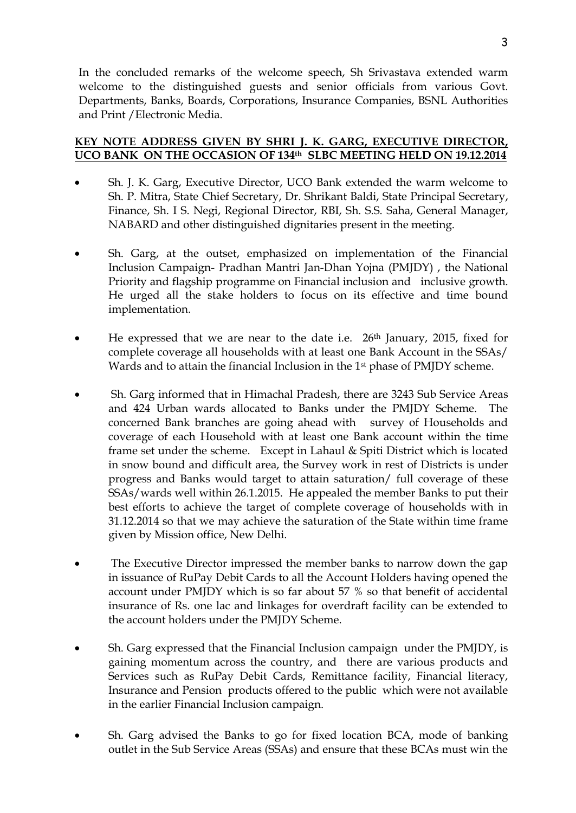In the concluded remarks of the welcome speech, Sh Srivastava extended warm welcome to the distinguished guests and senior officials from various Govt. Departments, Banks, Boards, Corporations, Insurance Companies, BSNL Authorities and Print /Electronic Media.

#### **KEY NOTE ADDRESS GIVEN BY SHRI J. K. GARG, EXECUTIVE DIRECTOR, UCO BANK ON THE OCCASION OF 134th SLBC MEETING HELD ON 19.12.2014**

- Sh. J. K. Garg, Executive Director, UCO Bank extended the warm welcome to Sh. P. Mitra, State Chief Secretary, Dr. Shrikant Baldi, State Principal Secretary, Finance, Sh. I S. Negi, Regional Director, RBI, Sh. S.S. Saha, General Manager, NABARD and other distinguished dignitaries present in the meeting.
- Sh. Garg, at the outset, emphasized on implementation of the Financial Inclusion Campaign- Pradhan Mantri Jan-Dhan Yojna (PMJDY) , the National Priority and flagship programme on Financial inclusion and inclusive growth. He urged all the stake holders to focus on its effective and time bound implementation.
- He expressed that we are near to the date i.e. 26<sup>th</sup> January, 2015, fixed for complete coverage all households with at least one Bank Account in the SSAs/ Wards and to attain the financial Inclusion in the 1<sup>st</sup> phase of PMJDY scheme.
- Sh. Garg informed that in Himachal Pradesh, there are 3243 Sub Service Areas and 424 Urban wards allocated to Banks under the PMJDY Scheme. The concerned Bank branches are going ahead with survey of Households and coverage of each Household with at least one Bank account within the time frame set under the scheme. Except in Lahaul & Spiti District which is located in snow bound and difficult area, the Survey work in rest of Districts is under progress and Banks would target to attain saturation/ full coverage of these SSAs/wards well within 26.1.2015. He appealed the member Banks to put their best efforts to achieve the target of complete coverage of households with in 31.12.2014 so that we may achieve the saturation of the State within time frame given by Mission office, New Delhi.
- The Executive Director impressed the member banks to narrow down the gap in issuance of RuPay Debit Cards to all the Account Holders having opened the account under PMJDY which is so far about 57 % so that benefit of accidental insurance of Rs. one lac and linkages for overdraft facility can be extended to the account holders under the PMJDY Scheme.
- Sh. Garg expressed that the Financial Inclusion campaign under the PMJDY, is gaining momentum across the country, and there are various products and Services such as RuPay Debit Cards, Remittance facility, Financial literacy, Insurance and Pension products offered to the public which were not available in the earlier Financial Inclusion campaign.
- Sh. Garg advised the Banks to go for fixed location BCA, mode of banking outlet in the Sub Service Areas (SSAs) and ensure that these BCAs must win the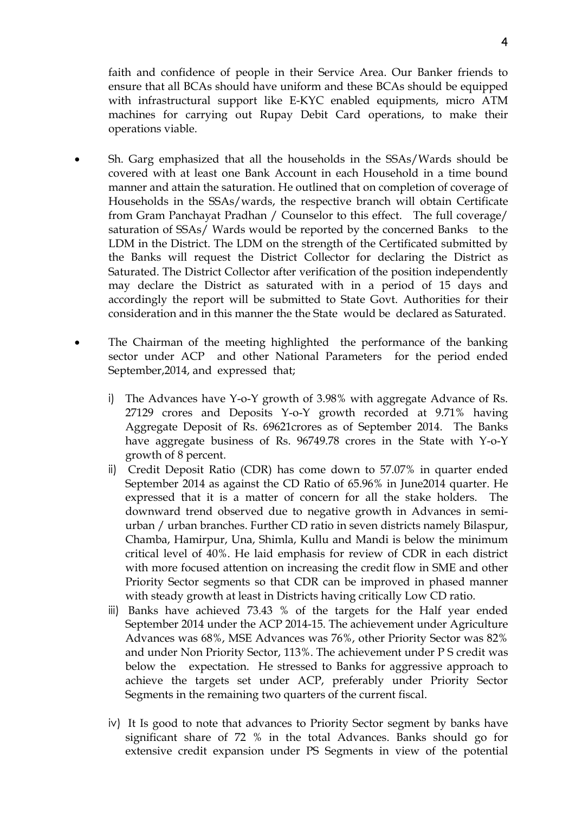faith and confidence of people in their Service Area. Our Banker friends to ensure that all BCAs should have uniform and these BCAs should be equipped with infrastructural support like E-KYC enabled equipments, micro ATM machines for carrying out Rupay Debit Card operations, to make their operations viable.

- Sh. Garg emphasized that all the households in the SSAs/Wards should be covered with at least one Bank Account in each Household in a time bound manner and attain the saturation. He outlined that on completion of coverage of Households in the SSAs/wards, the respective branch will obtain Certificate from Gram Panchayat Pradhan / Counselor to this effect. The full coverage/ saturation of SSAs/ Wards would be reported by the concerned Banks to the LDM in the District. The LDM on the strength of the Certificated submitted by the Banks will request the District Collector for declaring the District as Saturated. The District Collector after verification of the position independently may declare the District as saturated with in a period of 15 days and accordingly the report will be submitted to State Govt. Authorities for their consideration and in this manner the the State would be declared as Saturated.
- The Chairman of the meeting highlighted the performance of the banking sector under ACP and other National Parameters for the period ended September,2014, and expressed that;
	- i) The Advances have Y-o-Y growth of 3.98% with aggregate Advance of Rs. 27129 crores and Deposits Y-o-Y growth recorded at 9.71% having Aggregate Deposit of Rs. 69621crores as of September 2014. The Banks have aggregate business of Rs. 96749.78 crores in the State with Y-o-Y growth of 8 percent.
	- ii) Credit Deposit Ratio (CDR) has come down to 57.07% in quarter ended September 2014 as against the CD Ratio of 65.96% in June2014 quarter. He expressed that it is a matter of concern for all the stake holders. The downward trend observed due to negative growth in Advances in semiurban / urban branches. Further CD ratio in seven districts namely Bilaspur, Chamba, Hamirpur, Una, Shimla, Kullu and Mandi is below the minimum critical level of 40%. He laid emphasis for review of CDR in each district with more focused attention on increasing the credit flow in SME and other Priority Sector segments so that CDR can be improved in phased manner with steady growth at least in Districts having critically Low CD ratio.
	- iii) Banks have achieved 73.43 % of the targets for the Half year ended September 2014 under the ACP 2014-15. The achievement under Agriculture Advances was 68%, MSE Advances was 76%, other Priority Sector was 82% and under Non Priority Sector, 113%. The achievement under P S credit was below the expectation. He stressed to Banks for aggressive approach to achieve the targets set under ACP, preferably under Priority Sector Segments in the remaining two quarters of the current fiscal.
	- iv) It Is good to note that advances to Priority Sector segment by banks have significant share of 72 % in the total Advances. Banks should go for extensive credit expansion under PS Segments in view of the potential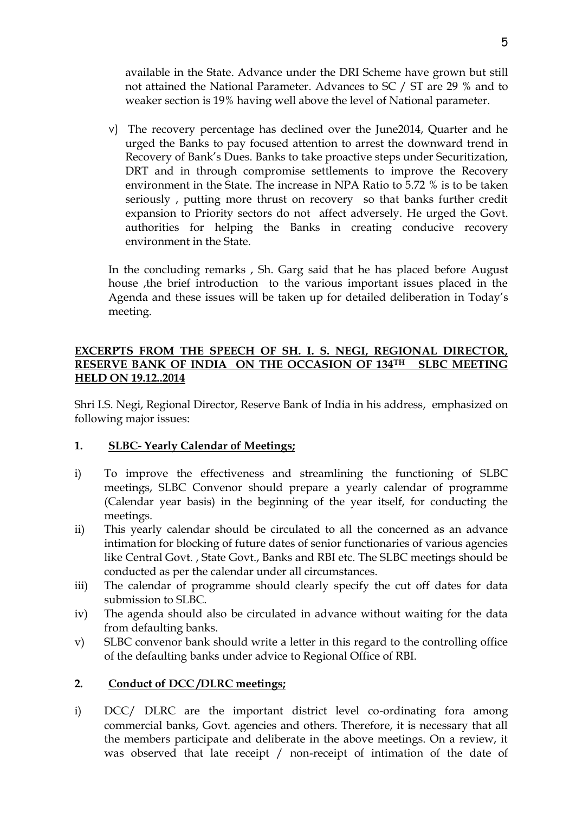available in the State. Advance under the DRI Scheme have grown but still not attained the National Parameter. Advances to SC / ST are 29 % and to weaker section is 19% having well above the level of National parameter.

v) The recovery percentage has declined over the June2014, Quarter and he urged the Banks to pay focused attention to arrest the downward trend in Recovery of Bank's Dues. Banks to take proactive steps under Securitization, DRT and in through compromise settlements to improve the Recovery environment in the State. The increase in NPA Ratio to 5.72 % is to be taken seriously , putting more thrust on recovery so that banks further credit expansion to Priority sectors do not affect adversely. He urged the Govt. authorities for helping the Banks in creating conducive recovery environment in the State.

In the concluding remarks , Sh. Garg said that he has placed before August house ,the brief introduction to the various important issues placed in the Agenda and these issues will be taken up for detailed deliberation in Today's meeting.

### **EXCERPTS FROM THE SPEECH OF SH. I. S. NEGI, REGIONAL DIRECTOR, RESERVE BANK OF INDIA ON THE OCCASION OF 134TH SLBC MEETING HELD ON 19.12..2014**

Shri I.S. Negi, Regional Director, Reserve Bank of India in his address, emphasized on following major issues:

#### **1. SLBC- Yearly Calendar of Meetings;**

- i) To improve the effectiveness and streamlining the functioning of SLBC meetings, SLBC Convenor should prepare a yearly calendar of programme (Calendar year basis) in the beginning of the year itself, for conducting the meetings.
- ii) This yearly calendar should be circulated to all the concerned as an advance intimation for blocking of future dates of senior functionaries of various agencies like Central Govt. , State Govt., Banks and RBI etc. The SLBC meetings should be conducted as per the calendar under all circumstances.
- iii) The calendar of programme should clearly specify the cut off dates for data submission to SLBC.
- iv) The agenda should also be circulated in advance without waiting for the data from defaulting banks.
- v) SLBC convenor bank should write a letter in this regard to the controlling office of the defaulting banks under advice to Regional Office of RBI.

#### **2. Conduct of DCC /DLRC meetings;**

i) DCC/ DLRC are the important district level co-ordinating fora among commercial banks, Govt. agencies and others. Therefore, it is necessary that all the members participate and deliberate in the above meetings. On a review, it was observed that late receipt / non-receipt of intimation of the date of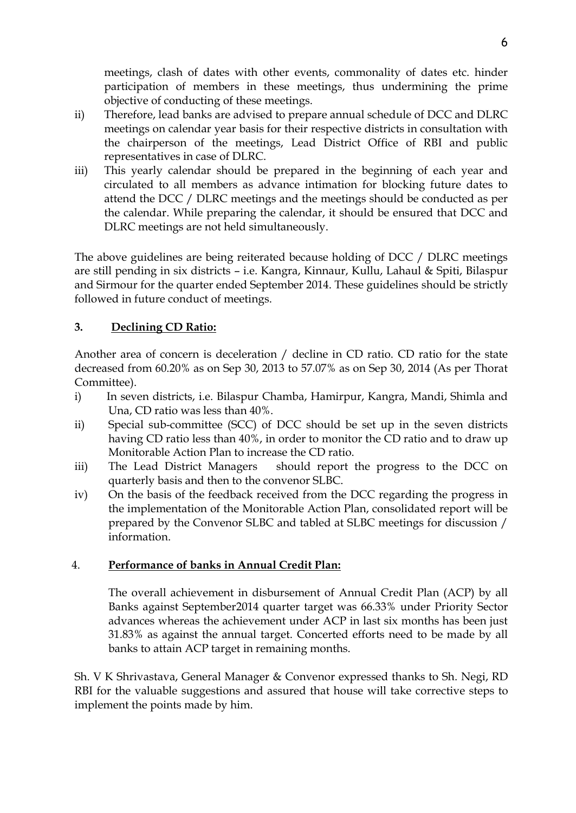meetings, clash of dates with other events, commonality of dates etc. hinder participation of members in these meetings, thus undermining the prime objective of conducting of these meetings.

- ii) Therefore, lead banks are advised to prepare annual schedule of DCC and DLRC meetings on calendar year basis for their respective districts in consultation with the chairperson of the meetings, Lead District Office of RBI and public representatives in case of DLRC.
- iii) This yearly calendar should be prepared in the beginning of each year and circulated to all members as advance intimation for blocking future dates to attend the DCC / DLRC meetings and the meetings should be conducted as per the calendar. While preparing the calendar, it should be ensured that DCC and DLRC meetings are not held simultaneously.

The above guidelines are being reiterated because holding of DCC / DLRC meetings are still pending in six districts – i.e. Kangra, Kinnaur, Kullu, Lahaul & Spiti, Bilaspur and Sirmour for the quarter ended September 2014. These guidelines should be strictly followed in future conduct of meetings.

## **3. Declining CD Ratio:**

Another area of concern is deceleration / decline in CD ratio. CD ratio for the state decreased from 60.20% as on Sep 30, 2013 to 57.07% as on Sep 30, 2014 (As per Thorat Committee).

- i) In seven districts, i.e. Bilaspur Chamba, Hamirpur, Kangra, Mandi, Shimla and Una, CD ratio was less than 40%.
- ii) Special sub-committee (SCC) of DCC should be set up in the seven districts having CD ratio less than 40%, in order to monitor the CD ratio and to draw up Monitorable Action Plan to increase the CD ratio.
- iii) The Lead District Managers should report the progress to the DCC on quarterly basis and then to the convenor SLBC.
- iv) On the basis of the feedback received from the DCC regarding the progress in the implementation of the Monitorable Action Plan, consolidated report will be prepared by the Convenor SLBC and tabled at SLBC meetings for discussion / information.

#### 4. **Performance of banks in Annual Credit Plan:**

The overall achievement in disbursement of Annual Credit Plan (ACP) by all Banks against September2014 quarter target was 66.33% under Priority Sector advances whereas the achievement under ACP in last six months has been just 31.83% as against the annual target. Concerted efforts need to be made by all banks to attain ACP target in remaining months.

Sh. V K Shrivastava, General Manager & Convenor expressed thanks to Sh. Negi, RD RBI for the valuable suggestions and assured that house will take corrective steps to implement the points made by him.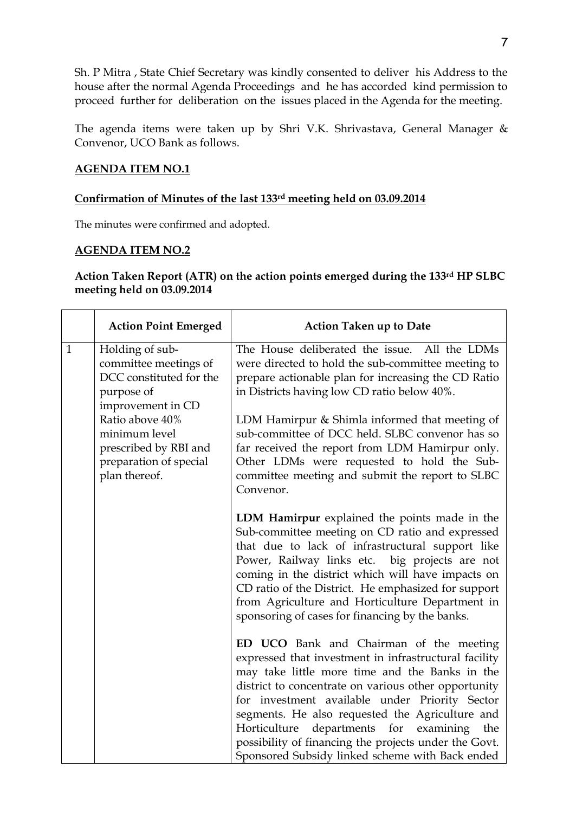Sh. P Mitra , State Chief Secretary was kindly consented to deliver his Address to the house after the normal Agenda Proceedings and he has accorded kind permission to proceed further for deliberation on the issues placed in the Agenda for the meeting.

The agenda items were taken up by Shri V.K. Shrivastava, General Manager & Convenor, UCO Bank as follows.

#### **AGENDA ITEM NO.1**

#### **Confirmation of Minutes of the last 133rd meeting held on 03.09.2014**

The minutes were confirmed and adopted.

#### **AGENDA ITEM NO.2**

#### **Action Taken Report (ATR) on the action points emerged during the 133rd HP SLBC meeting held on 03.09.2014**

|              | <b>Action Point Emerged</b>                                                                            | <b>Action Taken up to Date</b>                                                                                                                                                                                                                                                                                                                                                                                                                                            |
|--------------|--------------------------------------------------------------------------------------------------------|---------------------------------------------------------------------------------------------------------------------------------------------------------------------------------------------------------------------------------------------------------------------------------------------------------------------------------------------------------------------------------------------------------------------------------------------------------------------------|
| $\mathbf{1}$ | Holding of sub-<br>committee meetings of<br>DCC constituted for the<br>purpose of<br>improvement in CD | The House deliberated the issue. All the LDMs<br>were directed to hold the sub-committee meeting to<br>prepare actionable plan for increasing the CD Ratio<br>in Districts having low CD ratio below 40%.                                                                                                                                                                                                                                                                 |
|              | Ratio above 40%<br>minimum level<br>prescribed by RBI and<br>preparation of special<br>plan thereof.   | LDM Hamirpur & Shimla informed that meeting of<br>sub-committee of DCC held. SLBC convenor has so<br>far received the report from LDM Hamirpur only.<br>Other LDMs were requested to hold the Sub-<br>committee meeting and submit the report to SLBC<br>Convenor.                                                                                                                                                                                                        |
|              |                                                                                                        | LDM Hamirpur explained the points made in the<br>Sub-committee meeting on CD ratio and expressed<br>that due to lack of infrastructural support like<br>Power, Railway links etc. big projects are not<br>coming in the district which will have impacts on<br>CD ratio of the District. He emphasized for support<br>from Agriculture and Horticulture Department in<br>sponsoring of cases for financing by the banks.                                                  |
|              |                                                                                                        | ED UCO Bank and Chairman of the meeting<br>expressed that investment in infrastructural facility<br>may take little more time and the Banks in the<br>district to concentrate on various other opportunity<br>for investment available under Priority Sector<br>segments. He also requested the Agriculture and<br>Horticulture departments for examining the<br>possibility of financing the projects under the Govt.<br>Sponsored Subsidy linked scheme with Back ended |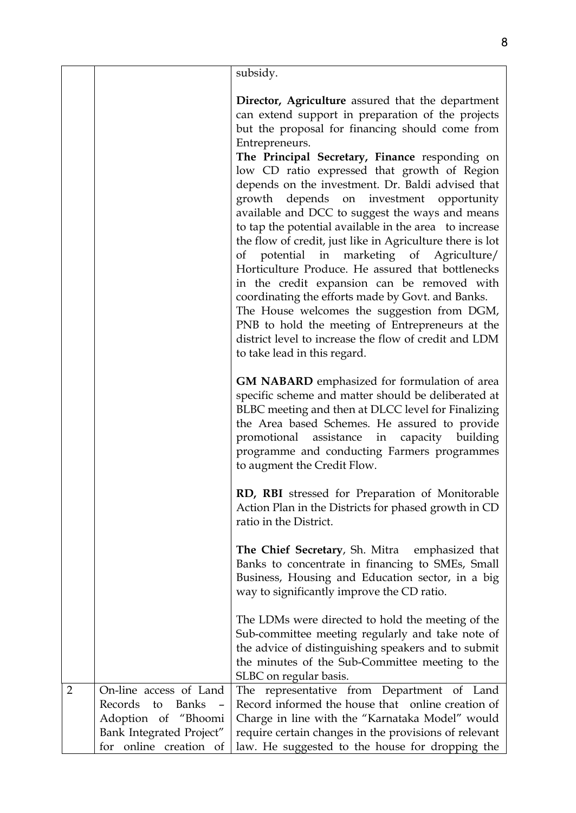|                |                                                                                                                                      | subsidy.                                                                                                                                                                                                                                                                                                                                                                                                                                                                                                                                                                                                                                                                                                                                                                                                                                                                                                                                                     |
|----------------|--------------------------------------------------------------------------------------------------------------------------------------|--------------------------------------------------------------------------------------------------------------------------------------------------------------------------------------------------------------------------------------------------------------------------------------------------------------------------------------------------------------------------------------------------------------------------------------------------------------------------------------------------------------------------------------------------------------------------------------------------------------------------------------------------------------------------------------------------------------------------------------------------------------------------------------------------------------------------------------------------------------------------------------------------------------------------------------------------------------|
|                |                                                                                                                                      | Director, Agriculture assured that the department<br>can extend support in preparation of the projects<br>but the proposal for financing should come from<br>Entrepreneurs.<br>The Principal Secretary, Finance responding on<br>low CD ratio expressed that growth of Region<br>depends on the investment. Dr. Baldi advised that<br>growth depends on investment opportunity<br>available and DCC to suggest the ways and means<br>to tap the potential available in the area to increase<br>the flow of credit, just like in Agriculture there is lot<br>potential in marketing of Agriculture/<br>of<br>Horticulture Produce. He assured that bottlenecks<br>in the credit expansion can be removed with<br>coordinating the efforts made by Govt. and Banks.<br>The House welcomes the suggestion from DGM,<br>PNB to hold the meeting of Entrepreneurs at the<br>district level to increase the flow of credit and LDM<br>to take lead in this regard. |
|                |                                                                                                                                      | <b>GM NABARD</b> emphasized for formulation of area<br>specific scheme and matter should be deliberated at<br>BLBC meeting and then at DLCC level for Finalizing<br>the Area based Schemes. He assured to provide<br>promotional assistance in capacity building<br>programme and conducting Farmers programmes<br>to augment the Credit Flow.                                                                                                                                                                                                                                                                                                                                                                                                                                                                                                                                                                                                               |
|                |                                                                                                                                      | RD, RBI stressed for Preparation of Monitorable<br>Action Plan in the Districts for phased growth in CD<br>ratio in the District.                                                                                                                                                                                                                                                                                                                                                                                                                                                                                                                                                                                                                                                                                                                                                                                                                            |
|                |                                                                                                                                      | The Chief Secretary, Sh. Mitra emphasized that<br>Banks to concentrate in financing to SMEs, Small<br>Business, Housing and Education sector, in a big<br>way to significantly improve the CD ratio.                                                                                                                                                                                                                                                                                                                                                                                                                                                                                                                                                                                                                                                                                                                                                         |
|                |                                                                                                                                      | The LDMs were directed to hold the meeting of the<br>Sub-committee meeting regularly and take note of<br>the advice of distinguishing speakers and to submit<br>the minutes of the Sub-Committee meeting to the<br>SLBC on regular basis.                                                                                                                                                                                                                                                                                                                                                                                                                                                                                                                                                                                                                                                                                                                    |
| $\overline{2}$ | On-line access of Land<br>Records<br><b>Banks</b><br>to<br>Adoption of "Bhoomi<br>Bank Integrated Project"<br>for online creation of | The representative from Department of Land<br>Record informed the house that online creation of<br>Charge in line with the "Karnataka Model" would<br>require certain changes in the provisions of relevant<br>law. He suggested to the house for dropping the                                                                                                                                                                                                                                                                                                                                                                                                                                                                                                                                                                                                                                                                                               |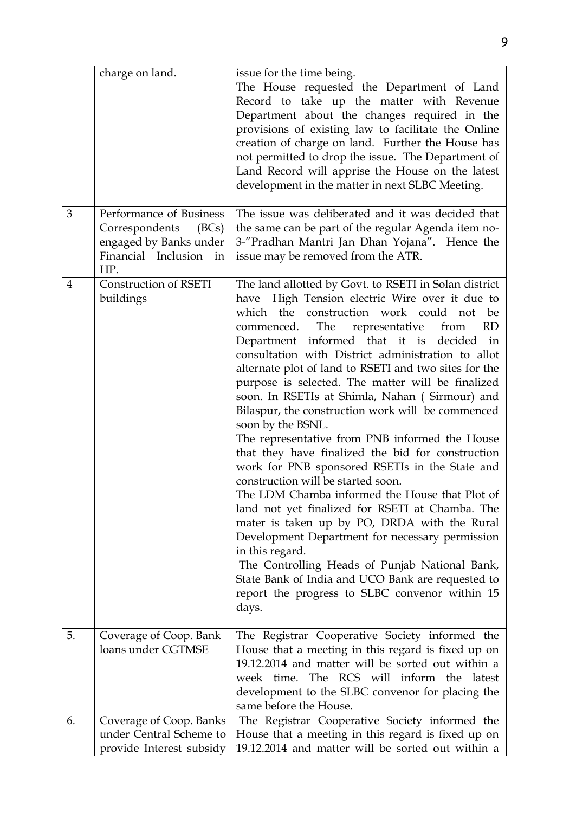| Performance of Business<br>3<br>Correspondents<br>(BCs)<br>engaged by Banks under<br>Financial Inclusion in<br>issue may be removed from the ATR.<br>HP.<br><b>Construction of RSETI</b><br>$\overline{4}$<br>buildings<br>The<br>representative from<br>commenced.<br>soon by the BSNL.<br>construction will be started soon.<br>in this regard.<br>days.<br>5.<br>The Registrar Cooperative Society informed the<br>Coverage of Coop. Bank<br>loans under CGTMSE | charge on land. | issue for the time being.<br>The House requested the Department of Land<br>Record to take up the matter with Revenue<br>Department about the changes required in the<br>provisions of existing law to facilitate the Online<br>creation of charge on land. Further the House has<br>not permitted to drop the issue. The Department of<br>Land Record will apprise the House on the latest<br>development in the matter in next SLBC Meeting.                                                                                                                                                                                                                                                                                                                                                                                                                                                                                                                                                                      |
|--------------------------------------------------------------------------------------------------------------------------------------------------------------------------------------------------------------------------------------------------------------------------------------------------------------------------------------------------------------------------------------------------------------------------------------------------------------------|-----------------|--------------------------------------------------------------------------------------------------------------------------------------------------------------------------------------------------------------------------------------------------------------------------------------------------------------------------------------------------------------------------------------------------------------------------------------------------------------------------------------------------------------------------------------------------------------------------------------------------------------------------------------------------------------------------------------------------------------------------------------------------------------------------------------------------------------------------------------------------------------------------------------------------------------------------------------------------------------------------------------------------------------------|
|                                                                                                                                                                                                                                                                                                                                                                                                                                                                    |                 | The issue was deliberated and it was decided that<br>the same can be part of the regular Agenda item no-<br>3-"Pradhan Mantri Jan Dhan Yojana". Hence the                                                                                                                                                                                                                                                                                                                                                                                                                                                                                                                                                                                                                                                                                                                                                                                                                                                          |
|                                                                                                                                                                                                                                                                                                                                                                                                                                                                    |                 | The land allotted by Govt. to RSETI in Solan district<br>have High Tension electric Wire over it due to<br>which the construction work could not be<br><b>RD</b><br>Department informed that it is decided in<br>consultation with District administration to allot<br>alternate plot of land to RSETI and two sites for the<br>purpose is selected. The matter will be finalized<br>soon. In RSETIs at Shimla, Nahan (Sirmour) and<br>Bilaspur, the construction work will be commenced<br>The representative from PNB informed the House<br>that they have finalized the bid for construction<br>work for PNB sponsored RSETIs in the State and<br>The LDM Chamba informed the House that Plot of<br>land not yet finalized for RSETI at Chamba. The<br>mater is taken up by PO, DRDA with the Rural<br>Development Department for necessary permission<br>The Controlling Heads of Punjab National Bank,<br>State Bank of India and UCO Bank are requested to<br>report the progress to SLBC convenor within 15 |
| same before the House.                                                                                                                                                                                                                                                                                                                                                                                                                                             |                 | House that a meeting in this regard is fixed up on<br>19.12.2014 and matter will be sorted out within a<br>week time. The RCS will inform the latest<br>development to the SLBC convenor for placing the                                                                                                                                                                                                                                                                                                                                                                                                                                                                                                                                                                                                                                                                                                                                                                                                           |
| 6.<br>Coverage of Coop. Banks                                                                                                                                                                                                                                                                                                                                                                                                                                      |                 | The Registrar Cooperative Society informed the                                                                                                                                                                                                                                                                                                                                                                                                                                                                                                                                                                                                                                                                                                                                                                                                                                                                                                                                                                     |
| under Central Scheme to<br>provide Interest subsidy                                                                                                                                                                                                                                                                                                                                                                                                                |                 | House that a meeting in this regard is fixed up on<br>19.12.2014 and matter will be sorted out within a                                                                                                                                                                                                                                                                                                                                                                                                                                                                                                                                                                                                                                                                                                                                                                                                                                                                                                            |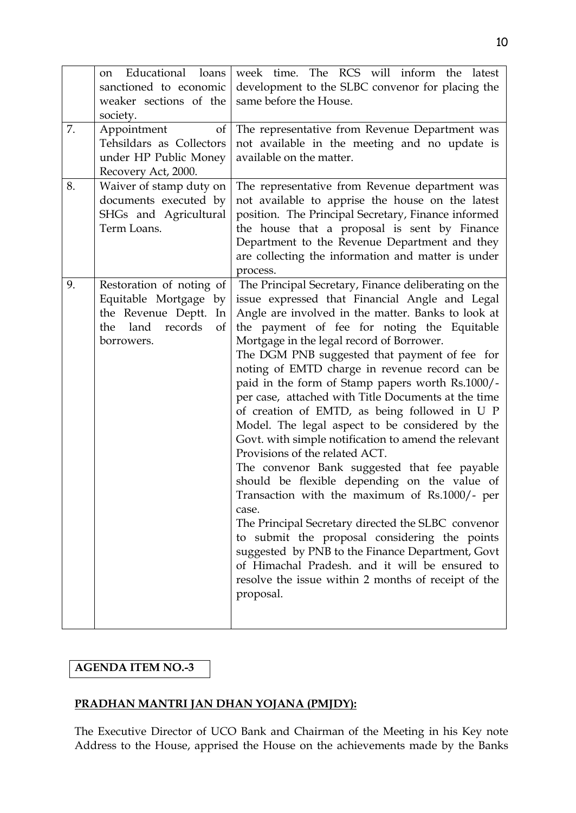|    | Educational loans<br>on<br>sanctioned to economic<br>weaker sections of the<br>society.                                     | week time. The RCS will inform the latest<br>development to the SLBC convenor for placing the<br>same before the House.                                                                                                                                                                                                                                                                                                                                                                                                                                                                                                                                                                                                                                                                                                                                                                                                                                                                                                                                                                                         |
|----|-----------------------------------------------------------------------------------------------------------------------------|-----------------------------------------------------------------------------------------------------------------------------------------------------------------------------------------------------------------------------------------------------------------------------------------------------------------------------------------------------------------------------------------------------------------------------------------------------------------------------------------------------------------------------------------------------------------------------------------------------------------------------------------------------------------------------------------------------------------------------------------------------------------------------------------------------------------------------------------------------------------------------------------------------------------------------------------------------------------------------------------------------------------------------------------------------------------------------------------------------------------|
| 7. | Appointment<br>of<br>Tehsildars as Collectors<br>under HP Public Money<br>Recovery Act, 2000.                               | The representative from Revenue Department was<br>not available in the meeting and no update is<br>available on the matter.                                                                                                                                                                                                                                                                                                                                                                                                                                                                                                                                                                                                                                                                                                                                                                                                                                                                                                                                                                                     |
| 8. | Waiver of stamp duty on<br>documents executed by<br>SHGs and Agricultural<br>Term Loans.                                    | The representative from Revenue department was<br>not available to apprise the house on the latest<br>position. The Principal Secretary, Finance informed<br>the house that a proposal is sent by Finance<br>Department to the Revenue Department and they<br>are collecting the information and matter is under<br>process.                                                                                                                                                                                                                                                                                                                                                                                                                                                                                                                                                                                                                                                                                                                                                                                    |
| 9. | Restoration of noting of<br>Equitable Mortgage by<br>the Revenue Deptt.<br>In<br>land<br>records<br>the<br>of<br>borrowers. | The Principal Secretary, Finance deliberating on the<br>issue expressed that Financial Angle and Legal<br>Angle are involved in the matter. Banks to look at<br>the payment of fee for noting the Equitable<br>Mortgage in the legal record of Borrower.<br>The DGM PNB suggested that payment of fee for<br>noting of EMTD charge in revenue record can be<br>paid in the form of Stamp papers worth Rs.1000/-<br>per case, attached with Title Documents at the time<br>of creation of EMTD, as being followed in U P<br>Model. The legal aspect to be considered by the<br>Govt. with simple notification to amend the relevant<br>Provisions of the related ACT.<br>The convenor Bank suggested that fee payable<br>should be flexible depending on the value of<br>Transaction with the maximum of Rs.1000/- per<br>case.<br>The Principal Secretary directed the SLBC convenor<br>to submit the proposal considering the points<br>suggested by PNB to the Finance Department, Govt<br>of Himachal Pradesh, and it will be ensured to<br>resolve the issue within 2 months of receipt of the<br>proposal. |

### **AGENDA ITEM NO.-3**

## **PRADHAN MANTRI JAN DHAN YOJANA (PMJDY):**

The Executive Director of UCO Bank and Chairman of the Meeting in his Key note Address to the House, apprised the House on the achievements made by the Banks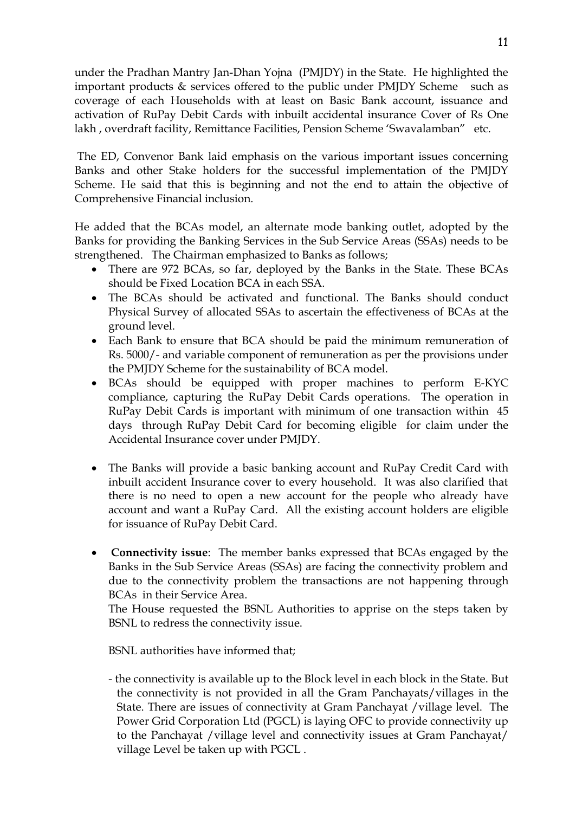under the Pradhan Mantry Jan-Dhan Yojna (PMJDY) in the State. He highlighted the important products & services offered to the public under PMJDY Scheme such as coverage of each Households with at least on Basic Bank account, issuance and activation of RuPay Debit Cards with inbuilt accidental insurance Cover of Rs One lakh , overdraft facility, Remittance Facilities, Pension Scheme 'Swavalamban" etc.

The ED, Convenor Bank laid emphasis on the various important issues concerning Banks and other Stake holders for the successful implementation of the PMJDY Scheme. He said that this is beginning and not the end to attain the objective of Comprehensive Financial inclusion.

He added that the BCAs model, an alternate mode banking outlet, adopted by the Banks for providing the Banking Services in the Sub Service Areas (SSAs) needs to be strengthened. The Chairman emphasized to Banks as follows;

- There are 972 BCAs, so far, deployed by the Banks in the State. These BCAs should be Fixed Location BCA in each SSA.
- The BCAs should be activated and functional. The Banks should conduct Physical Survey of allocated SSAs to ascertain the effectiveness of BCAs at the ground level.
- Each Bank to ensure that BCA should be paid the minimum remuneration of Rs. 5000/- and variable component of remuneration as per the provisions under the PMJDY Scheme for the sustainability of BCA model.
- BCAs should be equipped with proper machines to perform E-KYC compliance, capturing the RuPay Debit Cards operations. The operation in RuPay Debit Cards is important with minimum of one transaction within 45 days through RuPay Debit Card for becoming eligible for claim under the Accidental Insurance cover under PMJDY.
- The Banks will provide a basic banking account and RuPay Credit Card with inbuilt accident Insurance cover to every household. It was also clarified that there is no need to open a new account for the people who already have account and want a RuPay Card. All the existing account holders are eligible for issuance of RuPay Debit Card.
- **Connectivity issue**: The member banks expressed that BCAs engaged by the Banks in the Sub Service Areas (SSAs) are facing the connectivity problem and due to the connectivity problem the transactions are not happening through BCAs in their Service Area.

The House requested the BSNL Authorities to apprise on the steps taken by BSNL to redress the connectivity issue.

BSNL authorities have informed that;

- the connectivity is available up to the Block level in each block in the State. But the connectivity is not provided in all the Gram Panchayats/villages in the State. There are issues of connectivity at Gram Panchayat /village level. The Power Grid Corporation Ltd (PGCL) is laying OFC to provide connectivity up to the Panchayat /village level and connectivity issues at Gram Panchayat/ village Level be taken up with PGCL .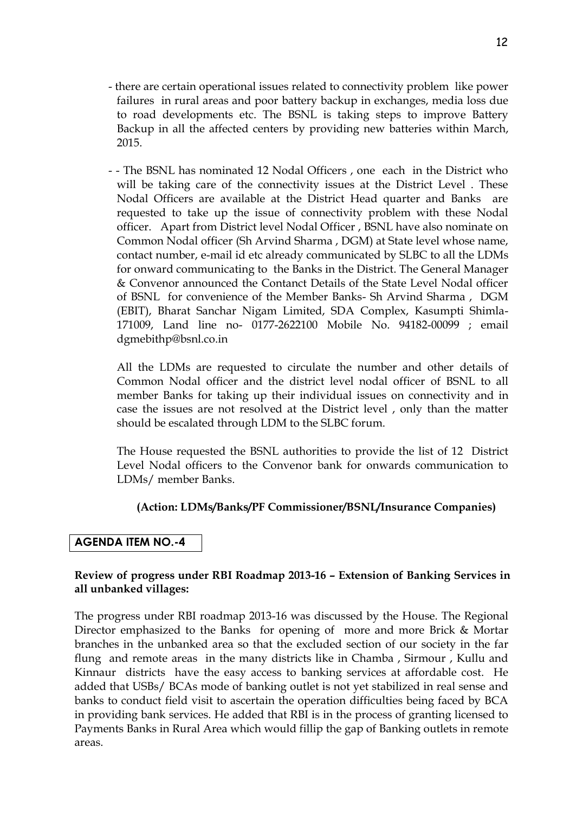- there are certain operational issues related to connectivity problem like power failures in rural areas and poor battery backup in exchanges, media loss due to road developments etc. The BSNL is taking steps to improve Battery Backup in all the affected centers by providing new batteries within March, 2015.
- - The BSNL has nominated 12 Nodal Officers , one each in the District who will be taking care of the connectivity issues at the District Level . These Nodal Officers are available at the District Head quarter and Banks are requested to take up the issue of connectivity problem with these Nodal officer. Apart from District level Nodal Officer , BSNL have also nominate on Common Nodal officer (Sh Arvind Sharma , DGM) at State level whose name, contact number, e-mail id etc already communicated by SLBC to all the LDMs for onward communicating to the Banks in the District. The General Manager & Convenor announced the Contanct Details of the State Level Nodal officer of BSNL for convenience of the Member Banks- Sh Arvind Sharma , DGM (EBIT), Bharat Sanchar Nigam Limited, SDA Complex, Kasumpti Shimla-171009, Land line no- 0177-2622100 Mobile No. 94182-00099 ; email dgmebithp@bsnl.co.in

 All the LDMs are requested to circulate the number and other details of Common Nodal officer and the district level nodal officer of BSNL to all member Banks for taking up their individual issues on connectivity and in case the issues are not resolved at the District level , only than the matter should be escalated through LDM to the SLBC forum.

 The House requested the BSNL authorities to provide the list of 12 District Level Nodal officers to the Convenor bank for onwards communication to LDMs/ member Banks.

#### **(Action: LDMs/Banks/PF Commissioner/BSNL/Insurance Companies)**

#### **AGENDA ITEM NO.-4**

#### **Review of progress under RBI Roadmap 2013-16 – Extension of Banking Services in all unbanked villages:**

The progress under RBI roadmap 2013-16 was discussed by the House. The Regional Director emphasized to the Banks for opening of more and more Brick & Mortar branches in the unbanked area so that the excluded section of our society in the far flung and remote areas in the many districts like in Chamba , Sirmour , Kullu and Kinnaur districts have the easy access to banking services at affordable cost. He added that USBs/ BCAs mode of banking outlet is not yet stabilized in real sense and banks to conduct field visit to ascertain the operation difficulties being faced by BCA in providing bank services. He added that RBI is in the process of granting licensed to Payments Banks in Rural Area which would fillip the gap of Banking outlets in remote areas.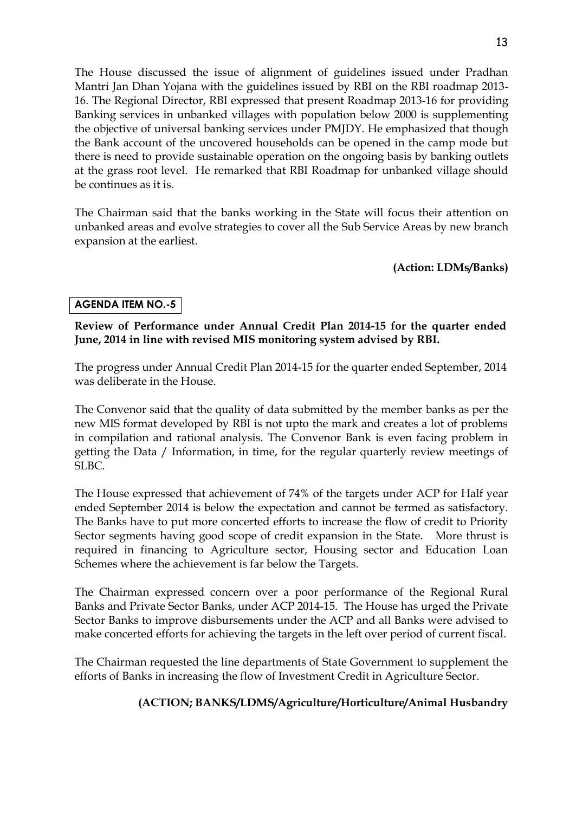The House discussed the issue of alignment of guidelines issued under Pradhan Mantri Jan Dhan Yojana with the guidelines issued by RBI on the RBI roadmap 2013-

16. The Regional Director, RBI expressed that present Roadmap 2013-16 for providing Banking services in unbanked villages with population below 2000 is supplementing the objective of universal banking services under PMJDY. He emphasized that though the Bank account of the uncovered households can be opened in the camp mode but there is need to provide sustainable operation on the ongoing basis by banking outlets at the grass root level. He remarked that RBI Roadmap for unbanked village should be continues as it is.

The Chairman said that the banks working in the State will focus their attention on unbanked areas and evolve strategies to cover all the Sub Service Areas by new branch expansion at the earliest.

### **(Action: LDMs/Banks)**

## **AGENDA ITEM NO.-5**

#### **Review of Performance under Annual Credit Plan 2014-15 for the quarter ended June, 2014 in line with revised MIS monitoring system advised by RBI.**

The progress under Annual Credit Plan 2014-15 for the quarter ended September, 2014 was deliberate in the House.

The Convenor said that the quality of data submitted by the member banks as per the new MIS format developed by RBI is not upto the mark and creates a lot of problems in compilation and rational analysis. The Convenor Bank is even facing problem in getting the Data / Information, in time, for the regular quarterly review meetings of SLBC.

The House expressed that achievement of 74% of the targets under ACP for Half year ended September 2014 is below the expectation and cannot be termed as satisfactory. The Banks have to put more concerted efforts to increase the flow of credit to Priority Sector segments having good scope of credit expansion in the State. More thrust is required in financing to Agriculture sector, Housing sector and Education Loan Schemes where the achievement is far below the Targets.

The Chairman expressed concern over a poor performance of the Regional Rural Banks and Private Sector Banks, under ACP 2014-15. The House has urged the Private Sector Banks to improve disbursements under the ACP and all Banks were advised to make concerted efforts for achieving the targets in the left over period of current fiscal.

The Chairman requested the line departments of State Government to supplement the efforts of Banks in increasing the flow of Investment Credit in Agriculture Sector.

## **(ACTION; BANKS/LDMS/Agriculture/Horticulture/Animal Husbandry**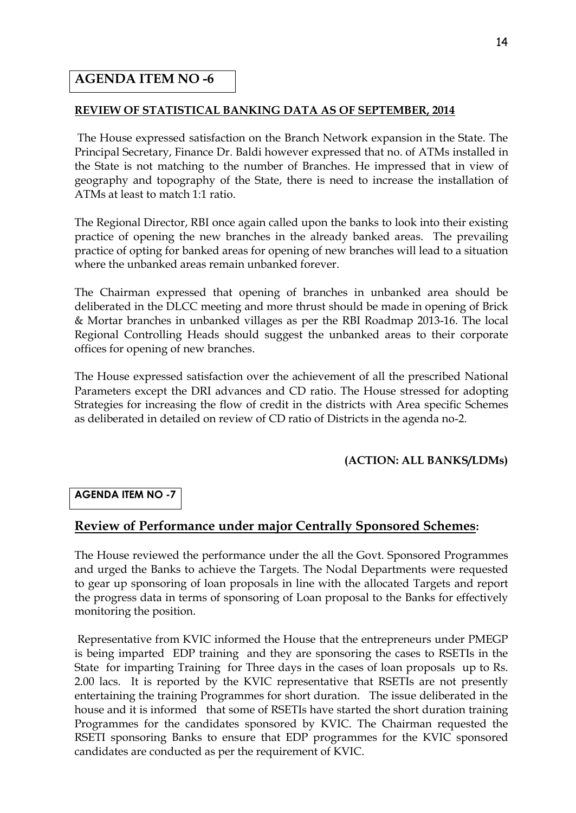### **AGENDA ITEM NO -6**

#### **REVIEW OF STATISTICAL BANKING DATA AS OF SEPTEMBER, 2014**

The House expressed satisfaction on the Branch Network expansion in the State. The Principal Secretary, Finance Dr. Baldi however expressed that no. of ATMs installed in the State is not matching to the number of Branches. He impressed that in view of geography and topography of the State, there is need to increase the installation of ATMs at least to match 1:1 ratio.

The Regional Director, RBI once again called upon the banks to look into their existing practice of opening the new branches in the already banked areas. The prevailing practice of opting for banked areas for opening of new branches will lead to a situation where the unbanked areas remain unbanked forever.

The Chairman expressed that opening of branches in unbanked area should be deliberated in the DLCC meeting and more thrust should be made in opening of Brick & Mortar branches in unbanked villages as per the RBI Roadmap 2013-16. The local Regional Controlling Heads should suggest the unbanked areas to their corporate offices for opening of new branches.

The House expressed satisfaction over the achievement of all the prescribed National Parameters except the DRI advances and CD ratio. The House stressed for adopting Strategies for increasing the flow of credit in the districts with Area specific Schemes as deliberated in detailed on review of CD ratio of Districts in the agenda no-2.

#### **(ACTION: ALL BANKS/LDMs)**

#### **AGENDA ITEM NO -7**

#### **Review of Performance under major Centrally Sponsored Schemes:**

The House reviewed the performance under the all the Govt. Sponsored Programmes and urged the Banks to achieve the Targets. The Nodal Departments were requested to gear up sponsoring of loan proposals in line with the allocated Targets and report the progress data in terms of sponsoring of Loan proposal to the Banks for effectively monitoring the position.

Representative from KVIC informed the House that the entrepreneurs under PMEGP is being imparted EDP training and they are sponsoring the cases to RSETIs in the State for imparting Training for Three days in the cases of loan proposals up to Rs. 2.00 lacs. It is reported by the KVIC representative that RSETIs are not presently entertaining the training Programmes for short duration. The issue deliberated in the house and it is informed that some of RSETIs have started the short duration training Programmes for the candidates sponsored by KVIC. The Chairman requested the RSETI sponsoring Banks to ensure that EDP programmes for the KVIC sponsored candidates are conducted as per the requirement of KVIC.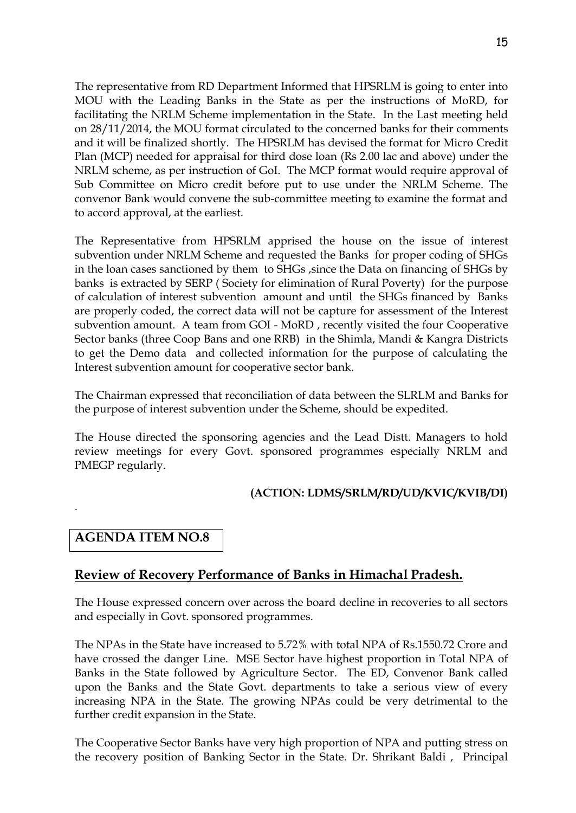The representative from RD Department Informed that HPSRLM is going to enter into MOU with the Leading Banks in the State as per the instructions of MoRD, for facilitating the NRLM Scheme implementation in the State. In the Last meeting held on 28/11/2014, the MOU format circulated to the concerned banks for their comments and it will be finalized shortly. The HPSRLM has devised the format for Micro Credit Plan (MCP) needed for appraisal for third dose loan (Rs 2.00 lac and above) under the NRLM scheme, as per instruction of GoI. The MCP format would require approval of Sub Committee on Micro credit before put to use under the NRLM Scheme. The convenor Bank would convene the sub-committee meeting to examine the format and to accord approval, at the earliest.

The Representative from HPSRLM apprised the house on the issue of interest subvention under NRLM Scheme and requested the Banks for proper coding of SHGs in the loan cases sanctioned by them to SHGs ,since the Data on financing of SHGs by banks is extracted by SERP ( Society for elimination of Rural Poverty) for the purpose of calculation of interest subvention amount and until the SHGs financed by Banks are properly coded, the correct data will not be capture for assessment of the Interest subvention amount. A team from GOI - MoRD , recently visited the four Cooperative Sector banks (three Coop Bans and one RRB) in the Shimla, Mandi & Kangra Districts to get the Demo data and collected information for the purpose of calculating the Interest subvention amount for cooperative sector bank.

The Chairman expressed that reconciliation of data between the SLRLM and Banks for the purpose of interest subvention under the Scheme, should be expedited.

The House directed the sponsoring agencies and the Lead Distt. Managers to hold review meetings for every Govt. sponsored programmes especially NRLM and PMEGP regularly.

#### **(ACTION: LDMS/SRLM/RD/UD/KVIC/KVIB/DI)**

## **AGENDA ITEM NO.8**

.

## **Review of Recovery Performance of Banks in Himachal Pradesh.**

The House expressed concern over across the board decline in recoveries to all sectors and especially in Govt. sponsored programmes.

The NPAs in the State have increased to 5.72% with total NPA of Rs.1550.72 Crore and have crossed the danger Line. MSE Sector have highest proportion in Total NPA of Banks in the State followed by Agriculture Sector. The ED, Convenor Bank called upon the Banks and the State Govt. departments to take a serious view of every increasing NPA in the State. The growing NPAs could be very detrimental to the further credit expansion in the State.

The Cooperative Sector Banks have very high proportion of NPA and putting stress on the recovery position of Banking Sector in the State. Dr. Shrikant Baldi , Principal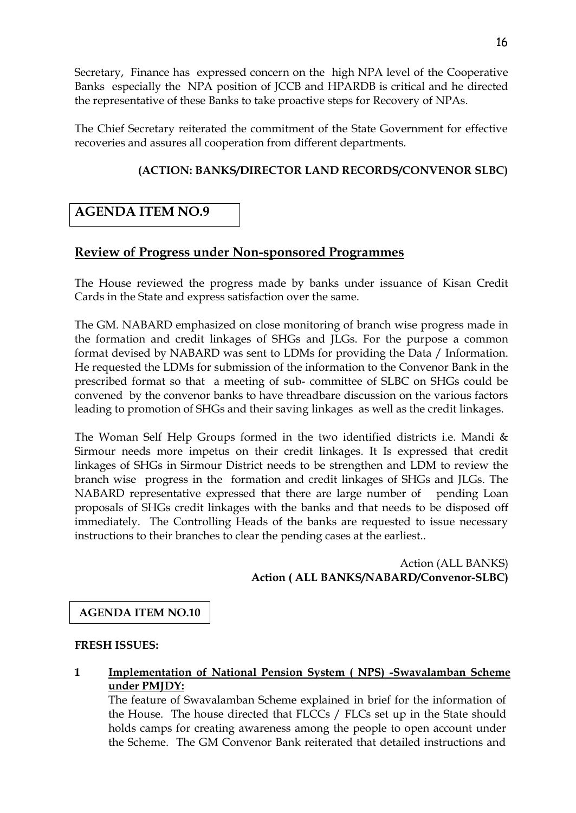Secretary, Finance has expressed concern on the high NPA level of the Cooperative Banks especially the NPA position of JCCB and HPARDB is critical and he directed the representative of these Banks to take proactive steps for Recovery of NPAs.

The Chief Secretary reiterated the commitment of the State Government for effective recoveries and assures all cooperation from different departments.

# **(ACTION: BANKS/DIRECTOR LAND RECORDS/CONVENOR SLBC)**

# **AGENDA ITEM NO.9**

# **Review of Progress under Non-sponsored Programmes**

The House reviewed the progress made by banks under issuance of Kisan Credit Cards in the State and express satisfaction over the same.

The GM. NABARD emphasized on close monitoring of branch wise progress made in the formation and credit linkages of SHGs and JLGs. For the purpose a common format devised by NABARD was sent to LDMs for providing the Data / Information. He requested the LDMs for submission of the information to the Convenor Bank in the prescribed format so that a meeting of sub- committee of SLBC on SHGs could be convened by the convenor banks to have threadbare discussion on the various factors leading to promotion of SHGs and their saving linkages as well as the credit linkages.

The Woman Self Help Groups formed in the two identified districts i.e. Mandi  $\&$ Sirmour needs more impetus on their credit linkages. It Is expressed that credit linkages of SHGs in Sirmour District needs to be strengthen and LDM to review the branch wise progress in the formation and credit linkages of SHGs and JLGs. The NABARD representative expressed that there are large number of pending Loan proposals of SHGs credit linkages with the banks and that needs to be disposed off immediately. The Controlling Heads of the banks are requested to issue necessary instructions to their branches to clear the pending cases at the earliest..

> Action (ALL BANKS) **Action ( ALL BANKS/NABARD/Convenor-SLBC)**

# **AGENDA ITEM NO.10**

#### **FRESH ISSUES:**

**1 Implementation of National Pension System ( NPS) -Swavalamban Scheme under PMJDY:**

The feature of Swavalamban Scheme explained in brief for the information of the House. The house directed that FLCCs / FLCs set up in the State should holds camps for creating awareness among the people to open account under the Scheme. The GM Convenor Bank reiterated that detailed instructions and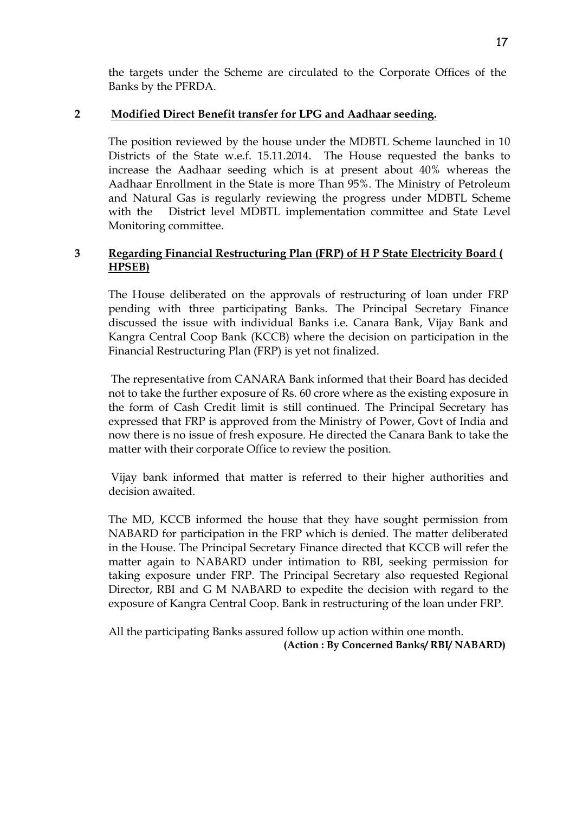the targets under the Scheme are circulated to the Corporate Offices of the Banks by the PFRDA.

#### **2 Modified Direct Benefit transfer for LPG and Aadhaar seeding.**

The position reviewed by the house under the MDBTL Scheme launched in 10 Districts of the State w.e.f. 15.11.2014. The House requested the banks to increase the Aadhaar seeding which is at present about 40% whereas the Aadhaar Enrollment in the State is more Than 95%. The Ministry of Petroleum and Natural Gas is regularly reviewing the progress under MDBTL Scheme with the District level MDBTL implementation committee and State Level Monitoring committee.

### **3 Regarding Financial Restructuring Plan (FRP) of H P State Electricity Board ( HPSEB)**

The House deliberated on the approvals of restructuring of loan under FRP pending with three participating Banks. The Principal Secretary Finance discussed the issue with individual Banks i.e. Canara Bank, Vijay Bank and Kangra Central Coop Bank (KCCB) where the decision on participation in the Financial Restructuring Plan (FRP) is yet not finalized.

The representative from CANARA Bank informed that their Board has decided not to take the further exposure of Rs. 60 crore where as the existing exposure in the form of Cash Credit limit is still continued. The Principal Secretary has expressed that FRP is approved from the Ministry of Power, Govt of India and now there is no issue of fresh exposure. He directed the Canara Bank to take the matter with their corporate Office to review the position.

Vijay bank informed that matter is referred to their higher authorities and decision awaited.

The MD, KCCB informed the house that they have sought permission from NABARD for participation in the FRP which is denied. The matter deliberated in the House. The Principal Secretary Finance directed that KCCB will refer the matter again to NABARD under intimation to RBI, seeking permission for taking exposure under FRP. The Principal Secretary also requested Regional Director, RBI and G M NABARD to expedite the decision with regard to the exposure of Kangra Central Coop. Bank in restructuring of the loan under FRP.

All the participating Banks assured follow up action within one month. **(Action : By Concerned Banks/ RBI/ NABARD)**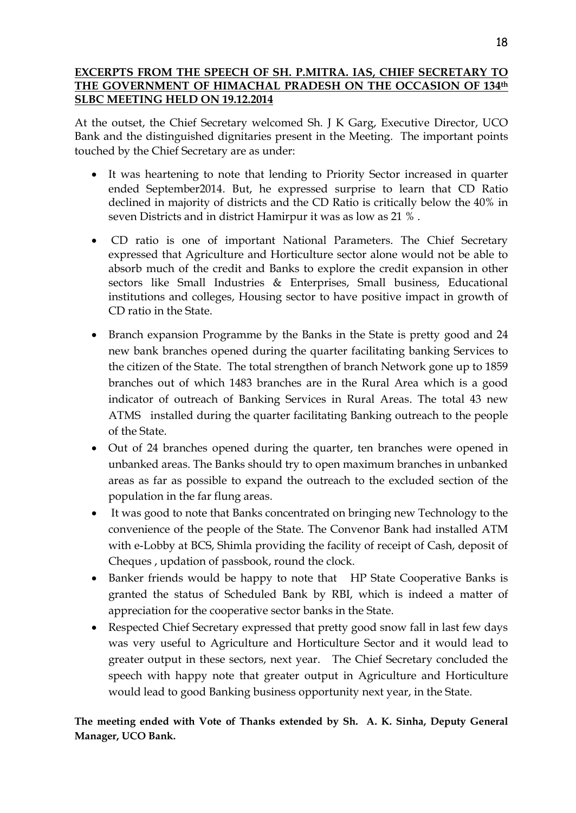#### **EXCERPTS FROM THE SPEECH OF SH. P.MITRA. IAS, CHIEF SECRETARY TO THE GOVERNMENT OF HIMACHAL PRADESH ON THE OCCASION OF 134th SLBC MEETING HELD ON 19.12.2014**

At the outset, the Chief Secretary welcomed Sh. J K Garg, Executive Director, UCO Bank and the distinguished dignitaries present in the Meeting. The important points touched by the Chief Secretary are as under:

- It was heartening to note that lending to Priority Sector increased in quarter ended September2014. But, he expressed surprise to learn that CD Ratio declined in majority of districts and the CD Ratio is critically below the 40% in seven Districts and in district Hamirpur it was as low as 21 % .
- CD ratio is one of important National Parameters. The Chief Secretary expressed that Agriculture and Horticulture sector alone would not be able to absorb much of the credit and Banks to explore the credit expansion in other sectors like Small Industries & Enterprises, Small business, Educational institutions and colleges, Housing sector to have positive impact in growth of CD ratio in the State.
- Branch expansion Programme by the Banks in the State is pretty good and 24 new bank branches opened during the quarter facilitating banking Services to the citizen of the State. The total strengthen of branch Network gone up to 1859 branches out of which 1483 branches are in the Rural Area which is a good indicator of outreach of Banking Services in Rural Areas. The total 43 new ATMS installed during the quarter facilitating Banking outreach to the people of the State.
- Out of 24 branches opened during the quarter, ten branches were opened in unbanked areas. The Banks should try to open maximum branches in unbanked areas as far as possible to expand the outreach to the excluded section of the population in the far flung areas.
- It was good to note that Banks concentrated on bringing new Technology to the convenience of the people of the State. The Convenor Bank had installed ATM with e-Lobby at BCS, Shimla providing the facility of receipt of Cash, deposit of Cheques , updation of passbook, round the clock.
- Banker friends would be happy to note that HP State Cooperative Banks is granted the status of Scheduled Bank by RBI, which is indeed a matter of appreciation for the cooperative sector banks in the State.
- Respected Chief Secretary expressed that pretty good snow fall in last few days was very useful to Agriculture and Horticulture Sector and it would lead to greater output in these sectors, next year. The Chief Secretary concluded the speech with happy note that greater output in Agriculture and Horticulture would lead to good Banking business opportunity next year, in the State.

**The meeting ended with Vote of Thanks extended by Sh. A. K. Sinha, Deputy General Manager, UCO Bank.**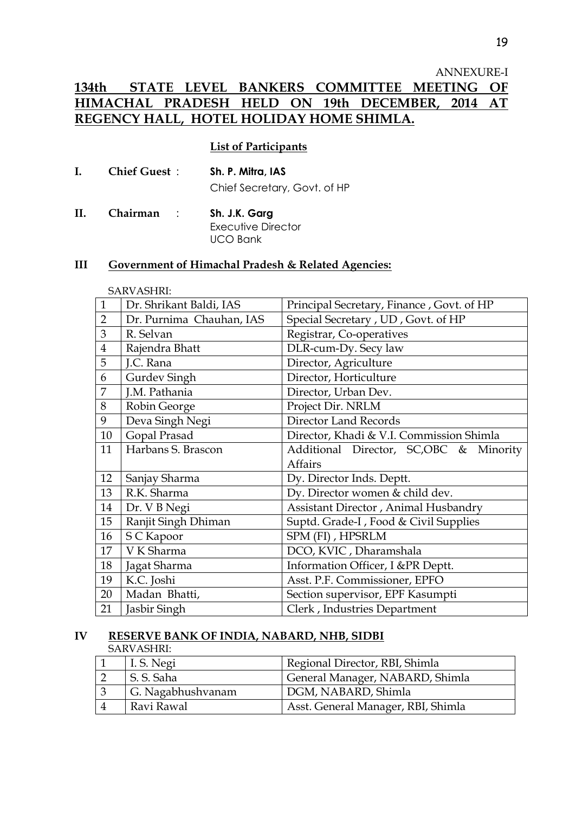#### ANNEXURE-I

# **134th STATE LEVEL BANKERS COMMITTEE MEETING OF HIMACHAL PRADESH HELD ON 19th DECEMBER, 2014 AT REGENCY HALL, HOTEL HOLIDAY HOME SHIMLA.**

#### **List of Participants**

| Ι. | <b>Chief Guest:</b> | Sh. P. Mitra, IAS            |
|----|---------------------|------------------------------|
|    |                     | Chief Secretary, Govt. of HP |
|    |                     |                              |

**II. Chairman** : **Sh. J.K. Garg** Executive Director UCO Bank

#### **III Government of Himachal Pradesh & Related Agencies:**

|                | <b>SARVASHRI:</b>        |                                           |
|----------------|--------------------------|-------------------------------------------|
| $\mathbf{1}$   | Dr. Shrikant Baldi, IAS  | Principal Secretary, Finance, Govt. of HP |
| $\overline{2}$ | Dr. Purnima Chauhan, IAS | Special Secretary, UD, Govt. of HP        |
| 3              | R. Selvan                | Registrar, Co-operatives                  |
| $\overline{4}$ | Rajendra Bhatt           | DLR-cum-Dy. Secy law                      |
| 5              | J.C. Rana                | Director, Agriculture                     |
| 6              | Gurdev Singh             | Director, Horticulture                    |
| 7              | J.M. Pathania            | Director, Urban Dev.                      |
| $8\,$          | Robin George             | Project Dir. NRLM                         |
| 9              | Deva Singh Negi          | <b>Director Land Records</b>              |
| 10             | Gopal Prasad             | Director, Khadi & V.I. Commission Shimla  |
| 11             | Harbans S. Brascon       | Additional Director, SC,OBC & Minority    |
|                |                          | <b>Affairs</b>                            |
| 12             | Sanjay Sharma            | Dy. Director Inds. Deptt.                 |
| 13             | R.K. Sharma              | Dy. Director women & child dev.           |
| 14             | Dr. V B Negi             | Assistant Director, Animal Husbandry      |
| 15             | Ranjit Singh Dhiman      | Suptd. Grade-I, Food & Civil Supplies     |
| 16             | S C Kapoor               | SPM (FI), HPSRLM                          |
| 17             | V K Sharma               | DCO, KVIC, Dharamshala                    |
| 18             | Jagat Sharma             | Information Officer, I &PR Deptt.         |
| 19             | K.C. Joshi               | Asst. P.F. Commissioner, EPFO             |
| 20             | Madan Bhatti,            | Section supervisor, EPF Kasumpti          |
| 21             | Jasbir Singh             | Clerk, Industries Department              |

#### **IV RESERVE BANK OF INDIA, NABARD, NHB, SIDBI**

SARVASHRI:

| L. S. Negi        | Regional Director, RBI, Shimla     |
|-------------------|------------------------------------|
| S. S. Saha        | General Manager, NABARD, Shimla    |
| G. Nagabhushvanam | DGM, NABARD, Shimla                |
| Ravi Rawal        | Asst. General Manager, RBI, Shimla |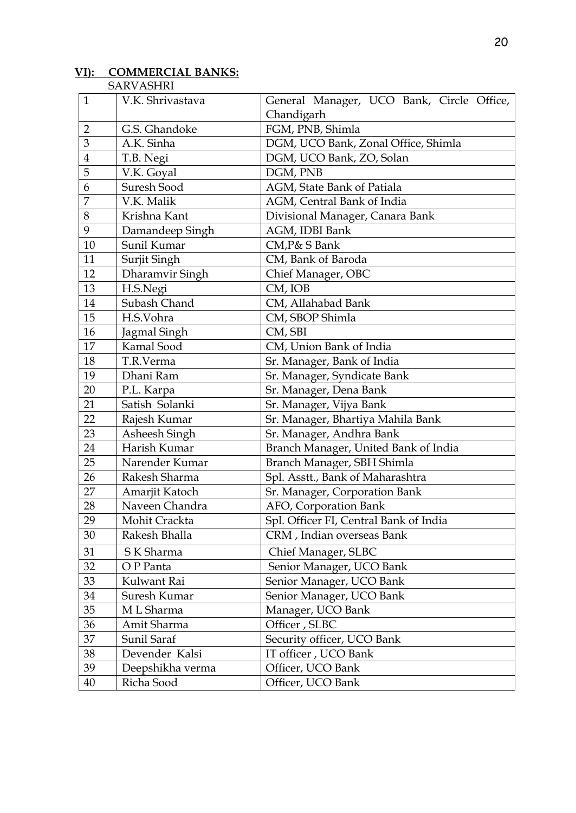# **VI): COMMERCIAL BANKS:**

| SARVASHRI |
|-----------|
|-----------|

| $\mathbf{1}$   | V.K. Shrivastava | General Manager, UCO Bank, Circle Office, |
|----------------|------------------|-------------------------------------------|
|                |                  | Chandigarh                                |
| $\overline{2}$ | G.S. Ghandoke    | FGM, PNB, Shimla                          |
| 3              | A.K. Sinha       | DGM, UCO Bank, Zonal Office, Shimla       |
| $\overline{4}$ | T.B. Negi        | DGM, UCO Bank, ZO, Solan                  |
| 5              | V.K. Goyal       | DGM, PNB                                  |
| 6              | Suresh Sood      | AGM, State Bank of Patiala                |
| 7              | V.K. Malik       | AGM, Central Bank of India                |
| 8              | Krishna Kant     | Divisional Manager, Canara Bank           |
| 9              | Damandeep Singh  | AGM, IDBI Bank                            |
| 10             | Sunil Kumar      | CM, P& S Bank                             |
| 11             | Surjit Singh     | CM, Bank of Baroda                        |
| 12             | Dharamvir Singh  | Chief Manager, OBC                        |
| 13             | H.S.Negi         | CM, IOB                                   |
| 14             | Subash Chand     | CM, Allahabad Bank                        |
| 15             | H.S.Vohra        | CM, SBOP Shimla                           |
| 16             | Jagmal Singh     | CM, SBI                                   |
| 17             | Kamal Sood       | CM, Union Bank of India                   |
| 18             | T.R.Verma        | Sr. Manager, Bank of India                |
| 19             | Dhani Ram        | Sr. Manager, Syndicate Bank               |
| 20             | P.L. Karpa       | Sr. Manager, Dena Bank                    |
| 21             | Satish Solanki   | Sr. Manager, Vijya Bank                   |
| 22             | Rajesh Kumar     | Sr. Manager, Bhartiya Mahila Bank         |
| 23             | Asheesh Singh    | Sr. Manager, Andhra Bank                  |
| 24             | Harish Kumar     | Branch Manager, United Bank of India      |
| 25             | Narender Kumar   | Branch Manager, SBH Shimla                |
| 26             | Rakesh Sharma    | Spl. Asstt., Bank of Maharashtra          |
| 27             | Amarjit Katoch   | Sr. Manager, Corporation Bank             |
| 28             | Naveen Chandra   | AFO, Corporation Bank                     |
| 29             | Mohit Crackta    | Spl. Officer FI, Central Bank of India    |
| 30             | Rakesh Bhalla    | CRM, Indian overseas Bank                 |
| 31             | S K Sharma       | Chief Manager, SLBC                       |
| 32             | O P Panta        | Senior Manager, UCO Bank                  |
| 33             | Kulwant Rai      | Senior Manager, UCO Bank                  |
| 34             | Suresh Kumar     | Senior Manager, UCO Bank                  |
| 35             | M L Sharma       | Manager, UCO Bank                         |
| 36             | Amit Sharma      | Officer, SLBC                             |
| 37             | Sunil Saraf      | Security officer, UCO Bank                |
| 38             | Devender Kalsi   | IT officer, UCO Bank                      |
| 39             | Deepshikha verma | Officer, UCO Bank                         |
| 40             | Richa Sood       | Officer, UCO Bank                         |